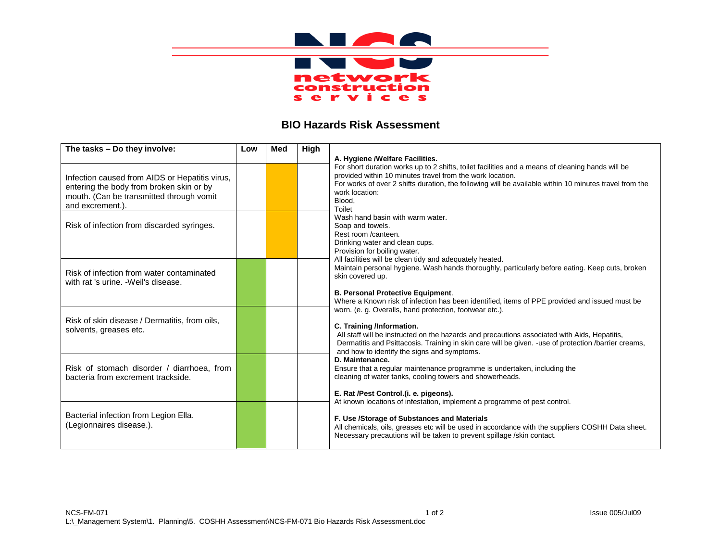

## **BIO Hazards Risk Assessment**

| The tasks - Do they involve:                                                                                                                               | Low | Med | High | A. Hygiene /Welfare Facilities.                                                                                                                                                                                                                                                                                                                                                                                                                                                                                                                                                                                                                                                                                                                                                                                                                                                                                                                                                                                                                                                                                                                                                                                                                                                                                                                                                                                                                                                                                                                                                                                                                              |
|------------------------------------------------------------------------------------------------------------------------------------------------------------|-----|-----|------|--------------------------------------------------------------------------------------------------------------------------------------------------------------------------------------------------------------------------------------------------------------------------------------------------------------------------------------------------------------------------------------------------------------------------------------------------------------------------------------------------------------------------------------------------------------------------------------------------------------------------------------------------------------------------------------------------------------------------------------------------------------------------------------------------------------------------------------------------------------------------------------------------------------------------------------------------------------------------------------------------------------------------------------------------------------------------------------------------------------------------------------------------------------------------------------------------------------------------------------------------------------------------------------------------------------------------------------------------------------------------------------------------------------------------------------------------------------------------------------------------------------------------------------------------------------------------------------------------------------------------------------------------------------|
| Infection caused from AIDS or Hepatitis virus,<br>entering the body from broken skin or by<br>mouth. (Can be transmitted through vomit<br>and excrement.). |     |     |      | For short duration works up to 2 shifts, toilet facilities and a means of cleaning hands will be<br>provided within 10 minutes travel from the work location.<br>For works of over 2 shifts duration, the following will be available within 10 minutes travel from the<br>work location:<br>Blood.<br>Toilet<br>Wash hand basin with warm water.<br>Soap and towels.<br>Rest room / canteen.<br>Drinking water and clean cups.<br>Provision for boiling water.<br>All facilities will be clean tidy and adequately heated.<br>Maintain personal hygiene. Wash hands thoroughly, particularly before eating. Keep cuts, broken<br>skin covered up.<br><b>B. Personal Protective Equipment.</b><br>Where a Known risk of infection has been identified, items of PPE provided and issued must be<br>worn. (e. g. Overalls, hand protection, footwear etc.).<br>C. Training /Information.<br>All staff will be instructed on the hazards and precautions associated with Aids, Hepatitis,<br>Dermatitis and Psittacosis. Training in skin care will be given. -use of protection /barrier creams,<br>and how to identify the signs and symptoms.<br>D. Maintenance.<br>Ensure that a regular maintenance programme is undertaken, including the<br>cleaning of water tanks, cooling towers and showerheads.<br>E. Rat /Pest Control.(i. e. pigeons).<br>At known locations of infestation, implement a programme of pest control.<br>F. Use /Storage of Substances and Materials<br>All chemicals, oils, greases etc will be used in accordance with the suppliers COSHH Data sheet.<br>Necessary precautions will be taken to prevent spillage /skin contact. |
| Risk of infection from discarded syringes.                                                                                                                 |     |     |      |                                                                                                                                                                                                                                                                                                                                                                                                                                                                                                                                                                                                                                                                                                                                                                                                                                                                                                                                                                                                                                                                                                                                                                                                                                                                                                                                                                                                                                                                                                                                                                                                                                                              |
| Risk of infection from water contaminated<br>with rat 's urine. - Weil's disease.                                                                          |     |     |      |                                                                                                                                                                                                                                                                                                                                                                                                                                                                                                                                                                                                                                                                                                                                                                                                                                                                                                                                                                                                                                                                                                                                                                                                                                                                                                                                                                                                                                                                                                                                                                                                                                                              |
| Risk of skin disease / Dermatitis, from oils,<br>solvents, greases etc.                                                                                    |     |     |      |                                                                                                                                                                                                                                                                                                                                                                                                                                                                                                                                                                                                                                                                                                                                                                                                                                                                                                                                                                                                                                                                                                                                                                                                                                                                                                                                                                                                                                                                                                                                                                                                                                                              |
| Risk of stomach disorder / diarrhoea, from<br>bacteria from excrement trackside.                                                                           |     |     |      |                                                                                                                                                                                                                                                                                                                                                                                                                                                                                                                                                                                                                                                                                                                                                                                                                                                                                                                                                                                                                                                                                                                                                                                                                                                                                                                                                                                                                                                                                                                                                                                                                                                              |
| Bacterial infection from Legion Ella.<br>(Legionnaires disease.).                                                                                          |     |     |      |                                                                                                                                                                                                                                                                                                                                                                                                                                                                                                                                                                                                                                                                                                                                                                                                                                                                                                                                                                                                                                                                                                                                                                                                                                                                                                                                                                                                                                                                                                                                                                                                                                                              |